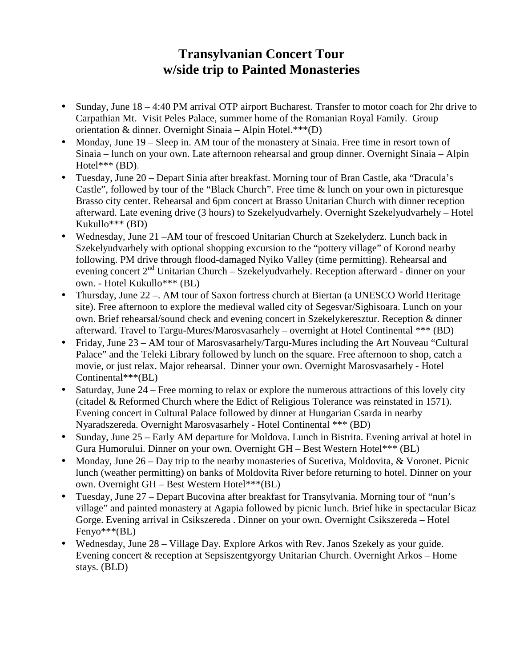## **Transylvanian Concert Tour w/side trip to Painted Monasteries**

- Sunday, June 18 4:40 PM arrival OTP airport Bucharest. Transfer to motor coach for 2hr drive to Carpathian Mt. Visit Peles Palace, summer home of the Romanian Royal Family. Group orientation & dinner. Overnight Sinaia – Alpin Hotel.\*\*\*(D)
- Monday, June 19 Sleep in. AM tour of the monastery at Sinaia. Free time in resort town of Sinaia – lunch on your own. Late afternoon rehearsal and group dinner. Overnight Sinaia – Alpin Hotel\*\*\* (BD).
- Tuesday, June 20 Depart Sinia after breakfast. Morning tour of Bran Castle, aka "Dracula's Castle", followed by tour of the "Black Church". Free time & lunch on your own in picturesque Brasso city center. Rehearsal and 6pm concert at Brasso Unitarian Church with dinner reception afterward. Late evening drive (3 hours) to Szekelyudvarhely. Overnight Szekelyudvarhely – Hotel Kukullo\*\*\* (BD)
- Wednesday, June 21 AM tour of frescoed Unitarian Church at Szekelyderz. Lunch back in Szekelyudvarhely with optional shopping excursion to the "pottery village" of Korond nearby following. PM drive through flood-damaged Nyiko Valley (time permitting). Rehearsal and evening concert  $2^{nd}$  Unitarian Church – Szekelyudvarhely. Reception afterward - dinner on your own. - Hotel Kukullo\*\*\* (BL)
- Thursday, June 22 –. AM tour of Saxon fortress church at Biertan (a UNESCO World Heritage site). Free afternoon to explore the medieval walled city of Segesvar/Sighisoara. Lunch on your own. Brief rehearsal/sound check and evening concert in Szekelykeresztur. Reception & dinner afterward. Travel to Targu-Mures/Marosvasarhely – overnight at Hotel Continental \*\*\* (BD)
- Friday, June 23 AM tour of Marosvasarhely/Targu-Mures including the Art Nouveau "Cultural" Palace" and the Teleki Library followed by lunch on the square. Free afternoon to shop, catch a movie, or just relax. Major rehearsal. Dinner your own. Overnight Marosvasarhely - Hotel Continental\*\*\*(BL)
- Saturday, June 24 Free morning to relax or explore the numerous attractions of this lovely city (citadel & Reformed Church where the Edict of Religious Tolerance was reinstated in 1571). Evening concert in Cultural Palace followed by dinner at Hungarian Csarda in nearby Nyaradszereda. Overnight Marosvasarhely - Hotel Continental \*\*\* (BD)
- Sunday, June 25 Early AM departure for Moldova. Lunch in Bistrita. Evening arrival at hotel in Gura Humorului. Dinner on your own. Overnight GH – Best Western Hotel\*\*\* (BL)
- Monday, June 26 Day trip to the nearby monasteries of Sucetiva, Moldovita, & Voronet. Picnic lunch (weather permitting) on banks of Moldovita River before returning to hotel. Dinner on your own. Overnight GH – Best Western Hotel\*\*\*(BL)
- Tuesday, June 27 Depart Bucovina after breakfast for Transylvania. Morning tour of "nun's village" and painted monastery at Agapia followed by picnic lunch. Brief hike in spectacular Bicaz Gorge. Evening arrival in Csikszereda . Dinner on your own. Overnight Csikszereda – Hotel  $Fenvo^{***}(BL)$
- Wednesday, June 28 Village Day. Explore Arkos with Rev. Janos Szekely as your guide. Evening concert & reception at Sepsiszentgyorgy Unitarian Church. Overnight Arkos – Home stays. (BLD)